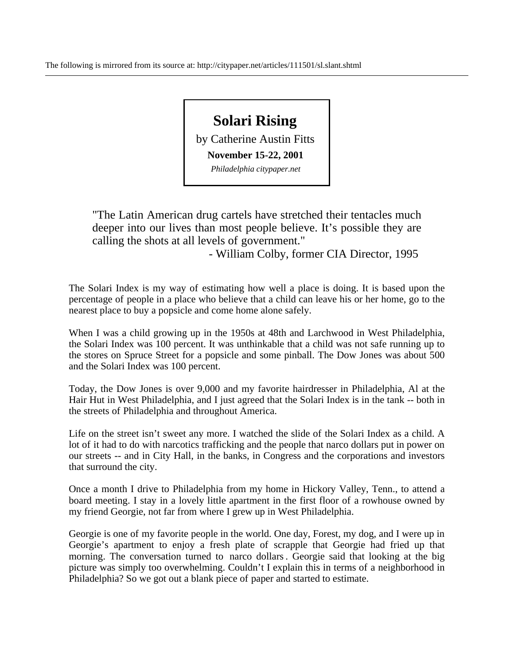## **Solari Rising**  by Catherine Austin Fitts **November 15-22, 2001**  *Philadelphia citypaper.net*

"The Latin American drug cartels have stretched their tentacles much deeper into our lives than most people believe. It's possible they are calling the shots at all levels of government."

- William Colby, former CIA Director, 1995

The Solari Index is my way of estimating how well a place is doing. It is based upon the percentage of people in a place who believe that a child can leave his or her home, go to the nearest place to buy a popsicle and come home alone safely.

When I was a child growing up in the 1950s at 48th and Larchwood in West Philadelphia, the Solari Index was 100 percent. It was unthinkable that a child was not safe running up to the stores on Spruce Street for a popsicle and some pinball. The Dow Jones was about 500 and the Solari Index was 100 percent.

Today, the Dow Jones is over 9,000 and my favorite hairdresser in Philadelphia, Al at the Hair Hut in West Philadelphia, and I just agreed that the Solari Index is in the tank -- both in the streets of Philadelphia and throughout America.

Life on the street isn't sweet any more. I watched the slide of the Solari Index as a child. A lot of it had to do with narcotics trafficking and the people that narco dollars put in power on our streets -- and in City Hall, in the banks, in Congress and the corporations and investors that surround the city.

Once a month I drive to Philadelphia from my home in Hickory Valley, Tenn., to attend a board meeting. I stay in a lovely little apartment in the first floor of a rowhouse owned by my friend Georgie, not far from where I grew up in West Philadelphia.

Georgie is one of my favorite people in the world. One day, Forest, my dog, and I were up in Georgie's apartment to enjoy a fresh plate of scrapple that Georgie had fried up that morning. The conversation turned to narco dollars . Georgie said that looking at the big picture was simply too overwhelming. Couldn't I explain this in terms of a neighborhood in Philadelphia? So we got out a blank piece of paper and started to estimate.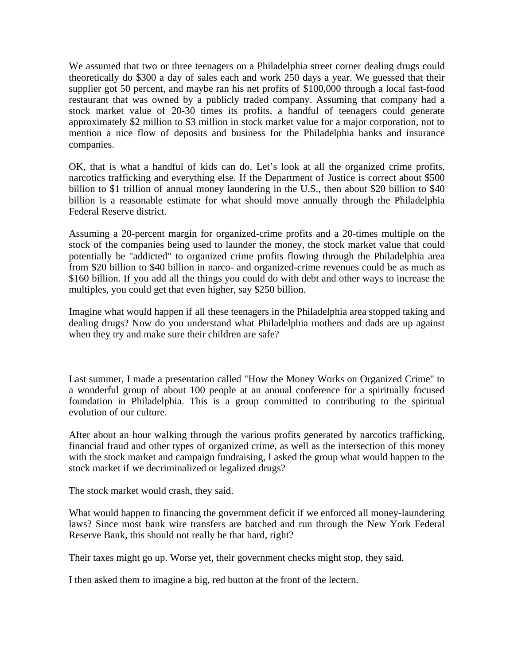We assumed that two or three teenagers on a Philadelphia street corner dealing drugs could theoretically do \$300 a day of sales each and work 250 days a year. We guessed that their supplier got 50 percent, and maybe ran his net profits of \$100,000 through a local fast-food restaurant that was owned by a publicly traded company. Assuming that company had a stock market value of 20-30 times its profits, a handful of teenagers could generate approximately \$2 million to \$3 million in stock market value for a major corporation, not to mention a nice flow of deposits and business for the Philadelphia banks and insurance companies.

OK, that is what a handful of kids can do. Let's look at all the organized crime profits, narcotics trafficking and everything else. If the Department of Justice is correct about \$500 billion to \$1 trillion of annual money laundering in the U.S., then about \$20 billion to \$40 billion is a reasonable estimate for what should move annually through the Philadelphia Federal Reserve district.

Assuming a 20-percent margin for organized-crime profits and a 20-times multiple on the stock of the companies being used to launder the money, the stock market value that could potentially be "addicted" to organized crime profits flowing through the Philadelphia area from \$20 billion to \$40 billion in narco- and organized-crime revenues could be as much as \$160 billion. If you add all the things you could do with debt and other ways to increase the multiples, you could get that even higher, say \$250 billion.

Imagine what would happen if all these teenagers in the Philadelphia area stopped taking and dealing drugs? Now do you understand what Philadelphia mothers and dads are up against when they try and make sure their children are safe?

Last summer, I made a presentation called "How the Money Works on Organized Crime" to a wonderful group of about 100 people at an annual conference for a spiritually focused foundation in Philadelphia. This is a group committed to contributing to the spiritual evolution of our culture.

After about an hour walking through the various profits generated by narcotics trafficking, financial fraud and other types of organized crime, as well as the intersection of this money with the stock market and campaign fundraising, I asked the group what would happen to the stock market if we decriminalized or legalized drugs?

The stock market would crash, they said.

What would happen to financing the government deficit if we enforced all money-laundering laws? Since most bank wire transfers are batched and run through the New York Federal Reserve Bank, this should not really be that hard, right?

Their taxes might go up. Worse yet, their government checks might stop, they said.

I then asked them to imagine a big, red button at the front of the lectern.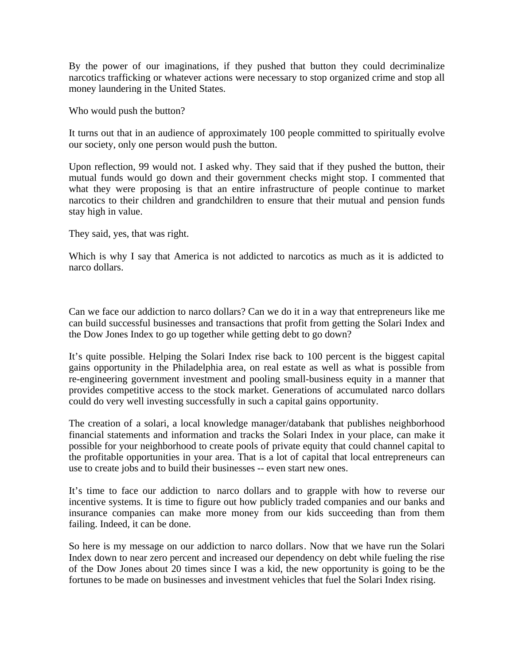By the power of our imaginations, if they pushed that button they could decriminalize narcotics trafficking or whatever actions were necessary to stop organized crime and stop all money laundering in the United States.

Who would push the button?

It turns out that in an audience of approximately 100 people committed to spiritually evolve our society, only one person would push the button.

Upon reflection, 99 would not. I asked why. They said that if they pushed the button, their mutual funds would go down and their government checks might stop. I commented that what they were proposing is that an entire infrastructure of people continue to market narcotics to their children and grandchildren to ensure that their mutual and pension funds stay high in value.

They said, yes, that was right.

Which is why I say that America is not addicted to narcotics as much as it is addicted to narco dollars.

Can we face our addiction to narco dollars? Can we do it in a way that entrepreneurs like me can build successful businesses and transactions that profit from getting the Solari Index and the Dow Jones Index to go up together while getting debt to go down?

It's quite possible. Helping the Solari Index rise back to 100 percent is the biggest capital gains opportunity in the Philadelphia area, on real estate as well as what is possible from re-engineering government investment and pooling small-business equity in a manner that provides competitive access to the stock market. Generations of accumulated narco dollars could do very well investing successfully in such a capital gains opportunity.

The creation of a solari, a local knowledge manager/databank that publishes neighborhood financial statements and information and tracks the Solari Index in your place, can make it possible for your neighborhood to create pools of private equity that could channel capital to the profitable opportunities in your area. That is a lot of capital that local entrepreneurs can use to create jobs and to build their businesses -- even start new ones.

It's time to face our addiction to narco dollars and to grapple with how to reverse our incentive systems. It is time to figure out how publicly traded companies and our banks and insurance companies can make more money from our kids succeeding than from them failing. Indeed, it can be done.

So here is my message on our addiction to narco dollars. Now that we have run the Solari Index down to near zero percent and increased our dependency on debt while fueling the rise of the Dow Jones about 20 times since I was a kid, the new opportunity is going to be the fortunes to be made on businesses and investment vehicles that fuel the Solari Index rising.